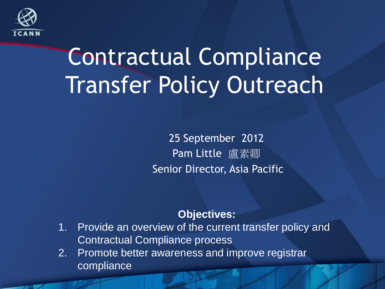

## Contractual Compliance Transfer Policy Outreach

25 September 2012 Pam Little 盧素卿 Senior Director, Asia Pacific

#### **Objectives:**

- 1. Provide an overview of the current transfer policy and Contractual Compliance process
- 2. Promote better awareness and improve registrar compliance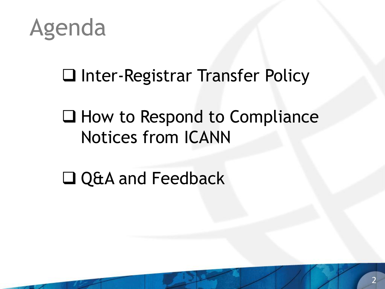

#### □ Inter-Registrar Transfer Policy

#### $\Box$  How to Respond to Compliance Notices from ICANN

□ Q&A and Feedback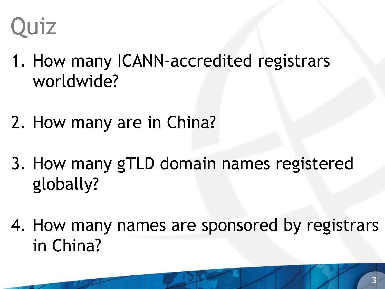## **Quiz**

- 1. How many ICANN-accredited registrars worldwide?
- 2. How many are in China?
- 3. How many gTLD domain names registered globally?
- 4. How many names are sponsored by registrars in China?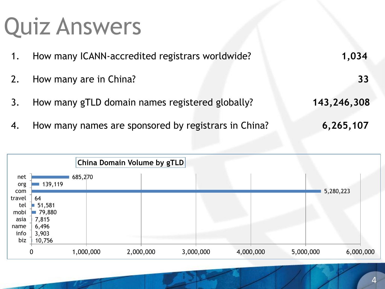## Quiz Answers

| 1. | How many ICANN-accredited registrars worldwide?         | 1,034       |
|----|---------------------------------------------------------|-------------|
|    | 2. How many are in China?                               | 33          |
|    | 3. How many gTLD domain names registered globally?      | 143,246,308 |
|    | 4. How many names are sponsored by registrars in China? | 6,265,107   |

|               |                 | China Domain Volume by gTLD |  |           |  |           |           |  |           |           |
|---------------|-----------------|-----------------------------|--|-----------|--|-----------|-----------|--|-----------|-----------|
| net<br>org    | 139,119         | 685,270                     |  |           |  |           |           |  |           |           |
| com<br>travel | 64              |                             |  |           |  |           |           |  | 5,280,223 |           |
| tel           | 51,581          |                             |  |           |  |           |           |  |           |           |
| mobi<br>asia  | 79,880<br>7,815 |                             |  |           |  |           |           |  |           |           |
| name          | 6,496           |                             |  |           |  |           |           |  |           |           |
| info          | 3,903           |                             |  |           |  |           |           |  |           |           |
| biz           | 10,756          |                             |  |           |  |           |           |  |           |           |
|               | 0               | 1,000,000                   |  | 2,000,000 |  | 3,000,000 | 4,000,000 |  | 5,000,000 | 6,000,000 |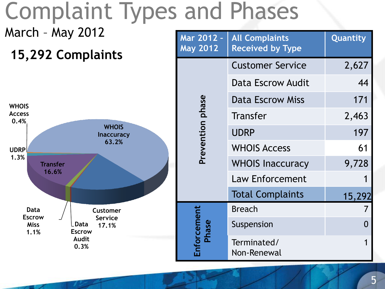## Complaint Types and Phases

#### March – May 2012

#### **15,292 Complaints**



| Mar 2012 -<br><b>May 2012</b> | <b>All Complaints</b><br><b>Received by Type</b> | <b>Quantity</b> |
|-------------------------------|--------------------------------------------------|-----------------|
|                               | <b>Customer Service</b>                          | 2,627           |
|                               | Data Escrow Audit                                | 44              |
|                               | <b>Data Escrow Miss</b>                          | 171             |
| Prevention phase              | <b>Transfer</b>                                  | 2,463           |
|                               | <b>UDRP</b>                                      | 197             |
|                               | <b>WHOIS Access</b>                              | 61              |
|                               | <b>WHOIS Inaccuracy</b>                          | 9,728           |
|                               | <b>Law Enforcement</b>                           |                 |
|                               | <b>Total Complaints</b>                          | 15,292          |
|                               | <b>Breach</b>                                    |                 |
| Phase                         | Suspension                                       |                 |
| nforcement                    | Terminated/<br>Non-Renewal                       | 1               |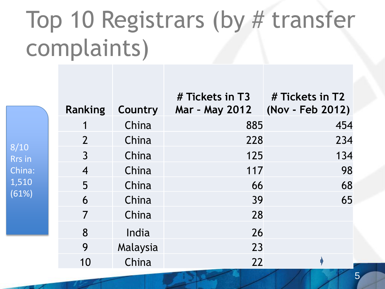## Top 10 Registrars (by # transfer complaints)

|               | <b>Ranking</b> | Country  | # Tickets in T3 # Tickets in T2<br>Mar - May 2012 (Nov - Feb 2012) |     |
|---------------|----------------|----------|--------------------------------------------------------------------|-----|
|               |                | China    | 885                                                                | 454 |
| 8/10          | $\overline{2}$ | China    | 228                                                                | 234 |
| <b>Rrs</b> in | $\overline{3}$ | China    | 125                                                                | 134 |
| China:        | $\overline{4}$ | China    | 117                                                                | 98  |
| 1,510         | 5              | China    | 66                                                                 | 68  |
| (61%)         | 6              | China    | 39                                                                 | 65  |
|               | $\overline{7}$ | China    | 28                                                                 |     |
|               | 8              | India    | 26                                                                 |     |
|               | 9              | Malaysia | 23                                                                 |     |
|               | 10             | China    | 22                                                                 |     |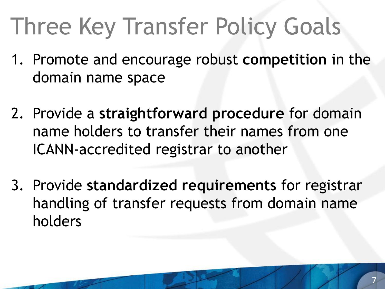# Three Key Transfer Policy Goals

- 1. Promote and encourage robust **competition** in the domain name space
- 2. Provide a **straightforward procedure** for domain name holders to transfer their names from one ICANN-accredited registrar to another
- 3. Provide **standardized requirements** for registrar handling of transfer requests from domain name holders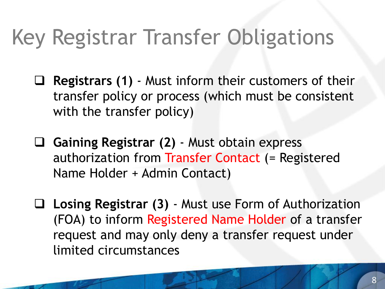#### Key Registrar Transfer Obligations

- **Registrars (1)**  Must inform their customers of their transfer policy or process (which must be consistent with the transfer policy)
- **Gaining Registrar (2)** Must obtain express authorization from Transfer Contact (= Registered Name Holder + Admin Contact)
- **Losing Registrar (3)**  Must use Form of Authorization (FOA) to inform Registered Name Holder of a transfer request and may only deny a transfer request under limited circumstances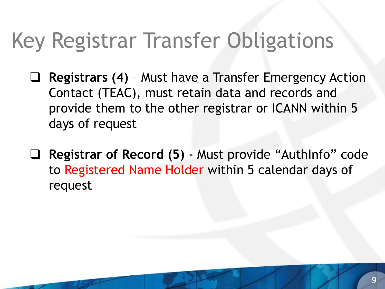#### Key Registrar Transfer Obligations

- **Registrars (4)** Must have a Transfer Emergency Action Contact (TEAC), must retain data and records and provide them to the other registrar or ICANN within 5 days of request
- **Registrar of Record (5)**  Must provide "AuthInfo" code to Registered Name Holder within 5 calendar days of request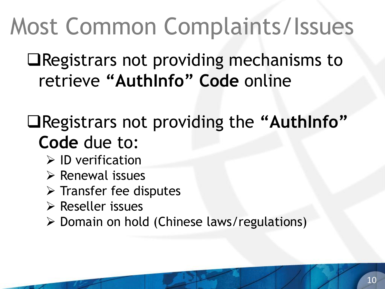## Most Common Complaints/Issues

Registrars not providing mechanisms to retrieve **"AuthInfo" Code** online

#### Registrars not providing the **"AuthInfo" Code** due to:

- $\triangleright$  ID verification
- $\triangleright$  Renewal issues
- $\triangleright$  Transfer fee disputes
- $\triangleright$  Reseller issues
- Domain on hold (Chinese laws/regulations)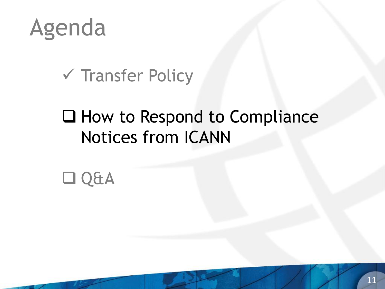

#### $\checkmark$  Transfer Policy

#### $\Box$  How to Respond to Compliance Notices from ICANN

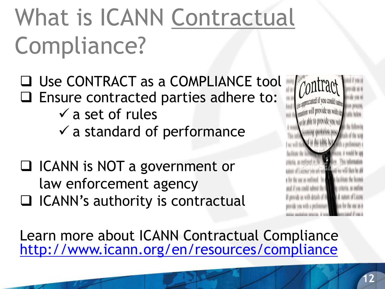# What is ICANN Contractual Compliance?

- □ Use CONTRACT as a COMPLIANCE tool  $\Box$  Ensure contracted parties adhere to:
	- $\checkmark$  a set of rules
	- $\checkmark$  a standard of performance
- □ ICANN is NOT a government or law enforcement agency
- $\Box$  ICANN's authority is contractual



Learn more about ICANN Contractual Compliance <http://www.icann.org/en/resources/compliance>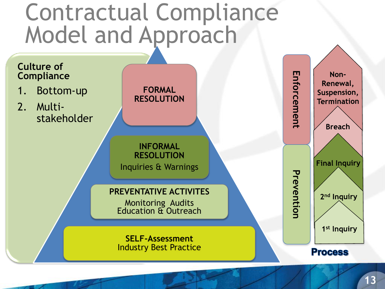#### Contractual Compliance Model and Approach

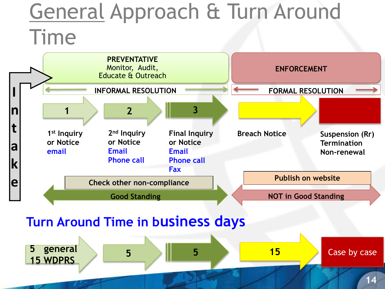#### General Approach & Turn Around Time



#### **Turn Around Time in business days**

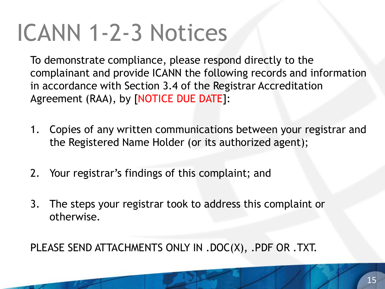## ICANN 1-2-3 Notices

To demonstrate compliance, please respond directly to the complainant and provide ICANN the following records and information in accordance with Section 3.4 of the Registrar Accreditation Agreement (RAA), by [NOTICE DUE DATE]:

- 1. Copies of any written communications between your registrar and the Registered Name Holder (or its authorized agent);
- 2. Your registrar's findings of this complaint; and
- 3. The steps your registrar took to address this complaint or otherwise.

PLEASE SEND ATTACHMENTS ONLY IN .DOC(X), .PDF OR .TXT.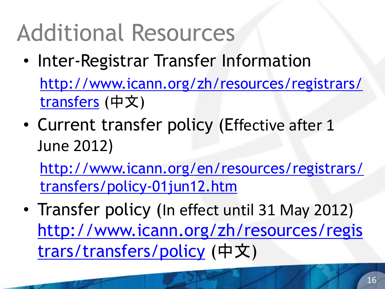## Additional Resources

• Inter-Registrar Transfer Information

[http://www.icann.org/zh/resources/registrars/](http://www.icann.org/zh/resources/registrars/transfers) [transfers](http://www.icann.org/zh/resources/registrars/transfers) (中文)

• Current transfer policy (Effective after 1 June 2012)

[http://www.icann.org/en/resources/registrars/](http://www.icann.org/en/general/consensus-policies.htm) [transfers/policy-01jun12.htm](http://www.icann.org/en/general/consensus-policies.htm)

• Transfer policy (In effect until 31 May 2012) [http://www.icann.org/zh/resources/regis](http://www.icann.org/zh/resources/registrars/transfers/policy) [trars/transfers/policy](http://www.icann.org/zh/resources/registrars/transfers/policy) (中文)